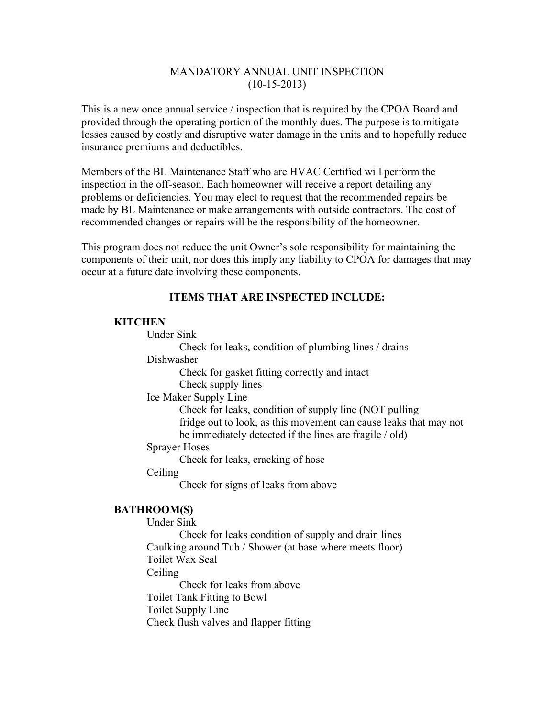## MANDATORY ANNUAL UNIT INSPECTION  $(10-15-2013)$

This is a new once annual service / inspection that is required by the CPOA Board and provided through the operating portion of the monthly dues. The purpose is to mitigate losses caused by costly and disruptive water damage in the units and to hopefully reduce insurance premiums and deductibles.

Members of the BL Maintenance Staff who are HVAC Certified will perform the inspection in the off-season. Each homeowner will receive a report detailing any problems or deficiencies. You may elect to request that the recommended repairs be made by BL Maintenance or make arrangements with outside contractors. The cost of recommended changes or repairs will be the responsibility of the homeowner.

This program does not reduce the unit Owner's sole responsibility for maintaining the components of their unit, nor does this imply any liability to CPOA for damages that may occur at a future date involving these components.

## **ITEMS THAT ARE INSPECTED INCLUDE:**

#### **KITCHEN**

Under Sink

Check for leaks, condition of plumbing lines / drains

Dishwasher

Check for gasket fitting correctly and intact Check supply lines

Ice Maker Supply Line

Check for leaks, condition of supply line (NOT pulling fridge out to look, as this movement can cause leaks that may not be immediately detected if the lines are fragile / old)

Sprayer Hoses

Check for leaks, cracking of hose

**Ceiling** 

Check for signs of leaks from above

## **BATHROOM(S)**

Under Sink

Check for leaks condition of supply and drain lines Caulking around Tub / Shower (at base where meets floor) Toilet Wax Seal Ceiling Check for leaks from above Toilet Tank Fitting to Bowl Toilet Supply Line

Check flush valves and flapper fitting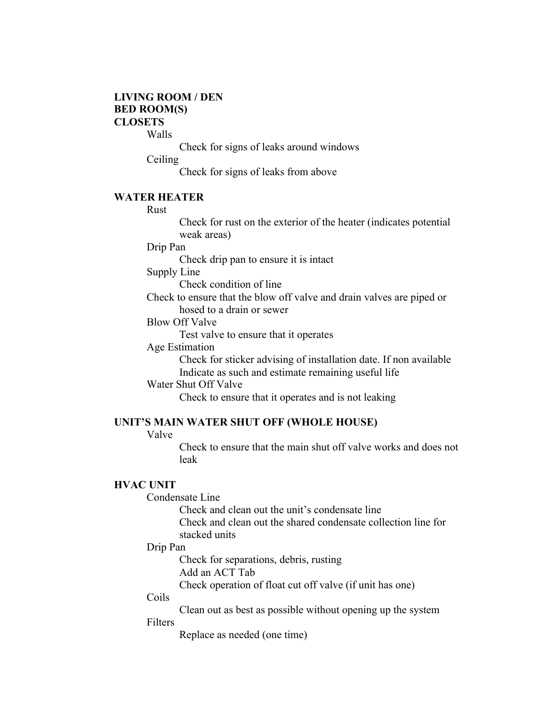## **LIVING ROOM / DEN BED ROOM(S) CLOSETS**

Walls

Check for signs of leaks around windows

Ceiling

Check for signs of leaks from above

#### **WATER HEATER**

Rust

Check for rust on the exterior of the heater (indicates potential weak areas)

Drip Pan

Check drip pan to ensure it is intact

Supply Line

Check condition of line

Check to ensure that the blow off valve and drain valves are piped or hosed to a drain or sewer

Blow Off Valve

Test valve to ensure that it operates

## Age Estimation

Check for sticker advising of installation date. If non available Indicate as such and estimate remaining useful life

Water Shut Off Valve

Check to ensure that it operates and is not leaking

#### **UNIT'S MAIN WATER SHUT OFF (WHOLE HOUSE)**

Valve

Check to ensure that the main shut off valve works and does not leak

#### **HVAC UNIT**

Condensate Line

Check and clean out the unit's condensate line

Check and clean out the shared condensate collection line for stacked units

#### Drip Pan

Check for separations, debris, rusting

Add an ACT Tab

Check operation of float cut off valve (if unit has one)

#### Coils

Clean out as best as possible without opening up the system

#### Filters

Replace as needed (one time)